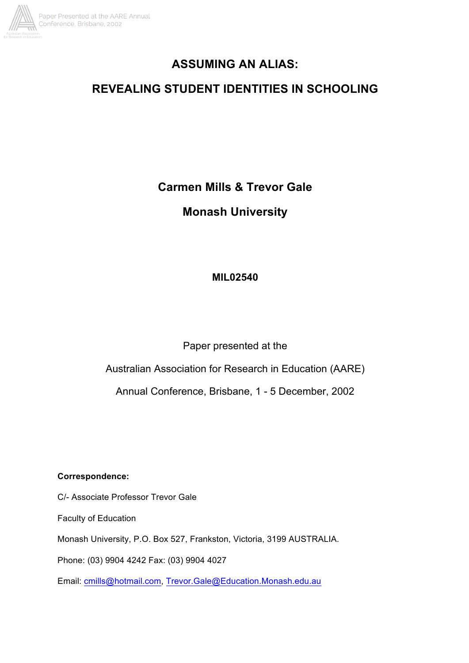

# **ASSUMING AN ALIAS:**

# **REVEALING STUDENT IDENTITIES IN SCHOOLING**

**Carmen Mills & Trevor Gale**

**Monash University**

# **MIL02540**

Paper presented at the

Australian Association for Research in Education (AARE)

Annual Conference, Brisbane, 1 - 5 December, 2002

**Correspondence:**

C/- Associate Professor Trevor Gale

Faculty of Education

Monash University, P.O. Box 527, Frankston, Victoria, 3199 AUSTRALIA.

Phone: (03) 9904 4242 Fax: (03) 9904 4027

Email: cmills@hotmail.com, Trevor.Gale@Education.Monash.edu.au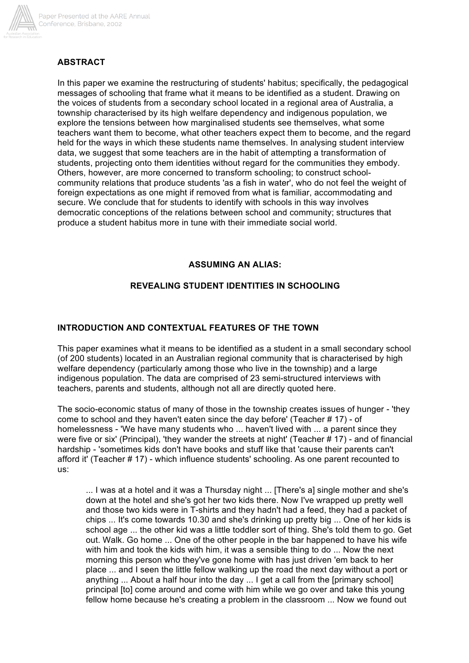

# **ABSTRACT**

In this paper we examine the restructuring of students' habitus; specifically, the pedagogical messages of schooling that frame what it means to be identified as a student. Drawing on the voices of students from a secondary school located in a regional area of Australia, a township characterised by its high welfare dependency and indigenous population, we explore the tensions between how marginalised students see themselves, what some teachers want them to become, what other teachers expect them to become, and the regard held for the ways in which these students name themselves. In analysing student interview data, we suggest that some teachers are in the habit of attempting a transformation of students, projecting onto them identities without regard for the communities they embody. Others, however, are more concerned to transform schooling; to construct schoolcommunity relations that produce students 'as a fish in water', who do not feel the weight of foreign expectations as one might if removed from what is familiar, accommodating and secure. We conclude that for students to identify with schools in this way involves democratic conceptions of the relations between school and community; structures that produce a student habitus more in tune with their immediate social world.

#### **ASSUMING AN ALIAS:**

# **REVEALING STUDENT IDENTITIES IN SCHOOLING**

#### **INTRODUCTION AND CONTEXTUAL FEATURES OF THE TOWN**

This paper examines what it means to be identified as a student in a small secondary school (of 200 students) located in an Australian regional community that is characterised by high welfare dependency (particularly among those who live in the township) and a large indigenous population. The data are comprised of 23 semi-structured interviews with teachers, parents and students, although not all are directly quoted here.

The socio-economic status of many of those in the township creates issues of hunger - 'they come to school and they haven't eaten since the day before' (Teacher # 17) - of homelessness - 'We have many students who ... haven't lived with ... a parent since they were five or six' (Principal), 'they wander the streets at night' (Teacher # 17) - and of financial hardship - 'sometimes kids don't have books and stuff like that 'cause their parents can't afford it' (Teacher # 17) - which influence students' schooling. As one parent recounted to us:

... I was at a hotel and it was a Thursday night ... [There's a] single mother and she's down at the hotel and she's got her two kids there. Now I've wrapped up pretty well and those two kids were in T-shirts and they hadn't had a feed, they had a packet of chips ... It's come towards 10.30 and she's drinking up pretty big ... One of her kids is school age ... the other kid was a little toddler sort of thing. She's told them to go. Get out. Walk. Go home ... One of the other people in the bar happened to have his wife with him and took the kids with him, it was a sensible thing to do ... Now the next morning this person who they've gone home with has just driven 'em back to her place ... and I seen the little fellow walking up the road the next day without a port or anything ... About a half hour into the day ... I get a call from the [primary school] principal [to] come around and come with him while we go over and take this young fellow home because he's creating a problem in the classroom ... Now we found out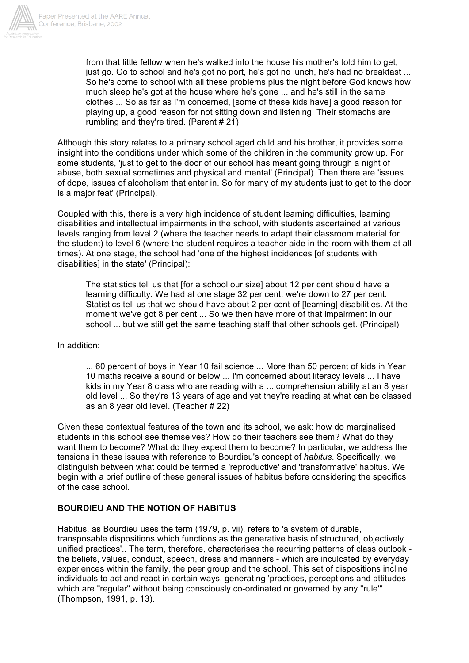

from that little fellow when he's walked into the house his mother's told him to get, just go. Go to school and he's got no port, he's got no lunch, he's had no breakfast ... So he's come to school with all these problems plus the night before God knows how much sleep he's got at the house where he's gone ... and he's still in the same clothes ... So as far as I'm concerned, [some of these kids have] a good reason for playing up, a good reason for not sitting down and listening. Their stomachs are rumbling and they're tired. (Parent # 21)

Although this story relates to a primary school aged child and his brother, it provides some insight into the conditions under which some of the children in the community grow up. For some students, 'just to get to the door of our school has meant going through a night of abuse, both sexual sometimes and physical and mental' (Principal). Then there are 'issues of dope, issues of alcoholism that enter in. So for many of my students just to get to the door is a major feat' (Principal).

Coupled with this, there is a very high incidence of student learning difficulties, learning disabilities and intellectual impairments in the school, with students ascertained at various levels ranging from level 2 (where the teacher needs to adapt their classroom material for the student) to level 6 (where the student requires a teacher aide in the room with them at all times). At one stage, the school had 'one of the highest incidences [of students with disabilities] in the state' (Principal):

The statistics tell us that [for a school our size] about 12 per cent should have a learning difficulty. We had at one stage 32 per cent, we're down to 27 per cent. Statistics tell us that we should have about 2 per cent of [learning] disabilities. At the moment we've got 8 per cent ... So we then have more of that impairment in our school ... but we still get the same teaching staff that other schools get. (Principal)

In addition:

... 60 percent of boys in Year 10 fail science ... More than 50 percent of kids in Year 10 maths receive a sound or below ... I'm concerned about literacy levels ... I have kids in my Year 8 class who are reading with a ... comprehension ability at an 8 year old level ... So they're 13 years of age and yet they're reading at what can be classed as an 8 year old level. (Teacher # 22)

Given these contextual features of the town and its school, we ask: how do marginalised students in this school see themselves? How do their teachers see them? What do they want them to become? What do they expect them to become? In particular, we address the tensions in these issues with reference to Bourdieu's concept of *habitus*. Specifically, we distinguish between what could be termed a 'reproductive' and 'transformative' habitus. We begin with a brief outline of these general issues of habitus before considering the specifics of the case school.

# **BOURDIEU AND THE NOTION OF HABITUS**

Habitus, as Bourdieu uses the term (1979, p. vii), refers to 'a system of durable, transposable dispositions which functions as the generative basis of structured, objectively unified practices'.. The term, therefore, characterises the recurring patterns of class outlook the beliefs, values, conduct, speech, dress and manners - which are inculcated by everyday experiences within the family, the peer group and the school. This set of dispositions incline individuals to act and react in certain ways, generating 'practices, perceptions and attitudes which are "regular" without being consciously co-ordinated or governed by any "rule''' (Thompson, 1991, p. 13).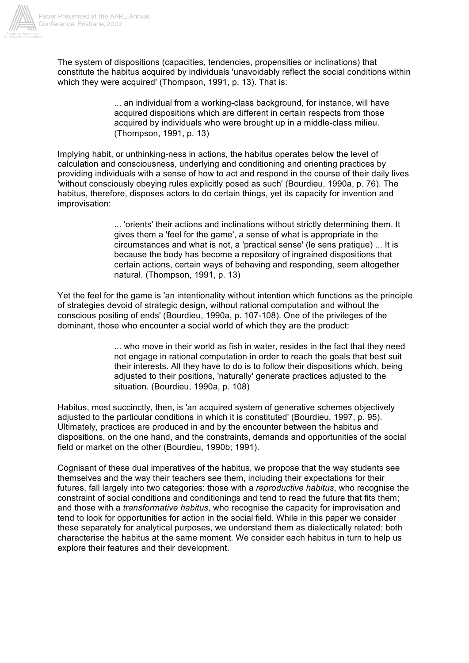

The system of dispositions (capacities, tendencies, propensities or inclinations) that constitute the habitus acquired by individuals 'unavoidably reflect the social conditions within which they were acquired' (Thompson, 1991, p. 13). That is:

> ... an individual from a working-class background, for instance, will have acquired dispositions which are different in certain respects from those acquired by individuals who were brought up in a middle-class milieu. (Thompson, 1991, p. 13)

Implying habit, or unthinking-ness in actions, the habitus operates below the level of calculation and consciousness, underlying and conditioning and orienting practices by providing individuals with a sense of how to act and respond in the course of their daily lives 'without consciously obeying rules explicitly posed as such' (Bourdieu, 1990a, p. 76). The habitus, therefore, disposes actors to do certain things, yet its capacity for invention and improvisation:

> ... 'orients' their actions and inclinations without strictly determining them. It gives them a 'feel for the game', a sense of what is appropriate in the circumstances and what is not, a 'practical sense' (le sens pratique) ... It is because the body has become a repository of ingrained dispositions that certain actions, certain ways of behaving and responding, seem altogether natural. (Thompson, 1991, p. 13)

Yet the feel for the game is 'an intentionality without intention which functions as the principle of strategies devoid of strategic design, without rational computation and without the conscious positing of ends' (Bourdieu, 1990a, p. 107-108). One of the privileges of the dominant, those who encounter a social world of which they are the product:

> ... who move in their world as fish in water, resides in the fact that they need not engage in rational computation in order to reach the goals that best suit their interests. All they have to do is to follow their dispositions which, being adjusted to their positions, 'naturally' generate practices adjusted to the situation. (Bourdieu, 1990a, p. 108)

Habitus, most succinctly, then, is 'an acquired system of generative schemes objectively adjusted to the particular conditions in which it is constituted' (Bourdieu, 1997, p. 95). Ultimately, practices are produced in and by the encounter between the habitus and dispositions, on the one hand, and the constraints, demands and opportunities of the social field or market on the other (Bourdieu, 1990b; 1991).

Cognisant of these dual imperatives of the habitus, we propose that the way students see themselves and the way their teachers see them, including their expectations for their futures, fall largely into two categories: those with a *reproductive habitus*, who recognise the constraint of social conditions and conditionings and tend to read the future that fits them; and those with a *transformative habitus*, who recognise the capacity for improvisation and tend to look for opportunities for action in the social field. While in this paper we consider these separately for analytical purposes, we understand them as dialectically related; both characterise the habitus at the same moment. We consider each habitus in turn to help us explore their features and their development.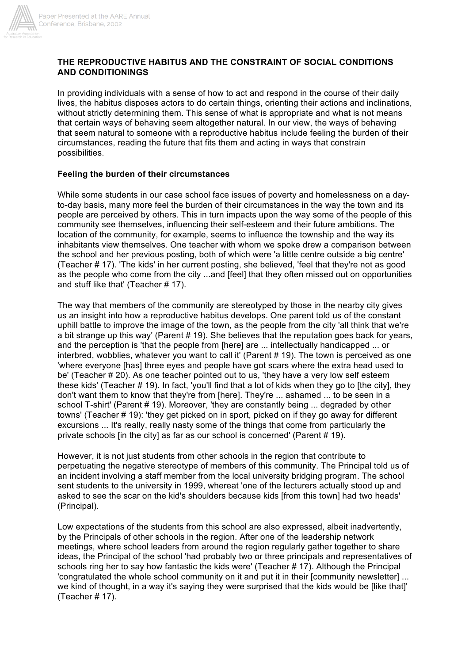

#### **THE REPRODUCTIVE HABITUS AND THE CONSTRAINT OF SOCIAL CONDITIONS AND CONDITIONINGS**

In providing individuals with a sense of how to act and respond in the course of their daily lives, the habitus disposes actors to do certain things, orienting their actions and inclinations, without strictly determining them. This sense of what is appropriate and what is not means that certain ways of behaving seem altogether natural. In our view, the ways of behaving that seem natural to someone with a reproductive habitus include feeling the burden of their circumstances, reading the future that fits them and acting in ways that constrain possibilities.

#### **Feeling the burden of their circumstances**

While some students in our case school face issues of poverty and homelessness on a dayto-day basis, many more feel the burden of their circumstances in the way the town and its people are perceived by others. This in turn impacts upon the way some of the people of this community see themselves, influencing their self-esteem and their future ambitions. The location of the community, for example, seems to influence the township and the way its inhabitants view themselves. One teacher with whom we spoke drew a comparison between the school and her previous posting, both of which were 'a little centre outside a big centre' (Teacher # 17). 'The kids' in her current posting, she believed, 'feel that they're not as good as the people who come from the city ...and [feel] that they often missed out on opportunities and stuff like that' (Teacher # 17).

The way that members of the community are stereotyped by those in the nearby city gives us an insight into how a reproductive habitus develops. One parent told us of the constant uphill battle to improve the image of the town, as the people from the city 'all think that we're a bit strange up this way' (Parent # 19). She believes that the reputation goes back for years, and the perception is 'that the people from [here] are ... intellectually handicapped ... or interbred, wobblies, whatever you want to call it' (Parent # 19). The town is perceived as one 'where everyone [has] three eyes and people have got scars where the extra head used to be' (Teacher # 20). As one teacher pointed out to us, 'they have a very low self esteem these kids' (Teacher # 19). In fact, 'you'll find that a lot of kids when they go to [the city], they don't want them to know that they're from [here]. They're ... ashamed ... to be seen in a school T-shirt' (Parent # 19). Moreover, 'they are constantly being ... degraded by other towns' (Teacher # 19): 'they get picked on in sport, picked on if they go away for different excursions ... It's really, really nasty some of the things that come from particularly the private schools [in the city] as far as our school is concerned' (Parent # 19).

However, it is not just students from other schools in the region that contribute to perpetuating the negative stereotype of members of this community. The Principal told us of an incident involving a staff member from the local university bridging program. The school sent students to the university in 1999, whereat 'one of the lecturers actually stood up and asked to see the scar on the kid's shoulders because kids [from this town] had two heads' (Principal).

Low expectations of the students from this school are also expressed, albeit inadvertently, by the Principals of other schools in the region. After one of the leadership network meetings, where school leaders from around the region regularly gather together to share ideas, the Principal of the school 'had probably two or three principals and representatives of schools ring her to say how fantastic the kids were' (Teacher # 17). Although the Principal 'congratulated the whole school community on it and put it in their [community newsletter] ... we kind of thought, in a way it's saying they were surprised that the kids would be [like that]' (Teacher # 17).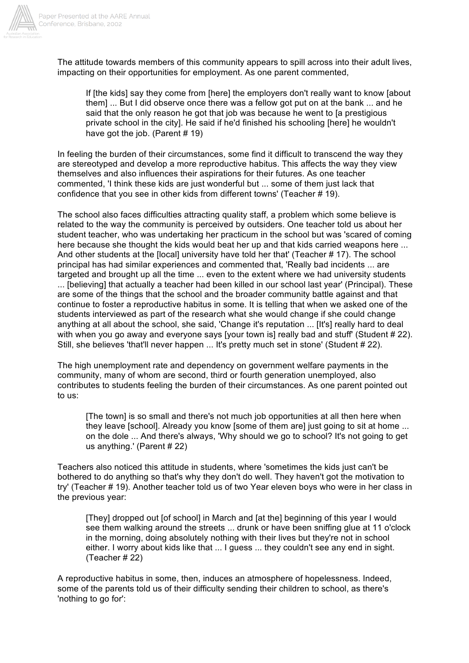

The attitude towards members of this community appears to spill across into their adult lives, impacting on their opportunities for employment. As one parent commented,

If [the kids] say they come from [here] the employers don't really want to know [about them] ... But I did observe once there was a fellow got put on at the bank ... and he said that the only reason he got that job was because he went to [a prestigious private school in the city]. He said if he'd finished his schooling [here] he wouldn't have got the job. (Parent # 19)

In feeling the burden of their circumstances, some find it difficult to transcend the way they are stereotyped and develop a more reproductive habitus. This affects the way they view themselves and also influences their aspirations for their futures. As one teacher commented, 'I think these kids are just wonderful but ... some of them just lack that confidence that you see in other kids from different towns' (Teacher # 19).

The school also faces difficulties attracting quality staff, a problem which some believe is related to the way the community is perceived by outsiders. One teacher told us about her student teacher, who was undertaking her practicum in the school but was 'scared of coming here because she thought the kids would beat her up and that kids carried weapons here ... And other students at the [local] university have told her that' (Teacher # 17). The school principal has had similar experiences and commented that, 'Really bad incidents ... are targeted and brought up all the time ... even to the extent where we had university students ... [believing] that actually a teacher had been killed in our school last year' (Principal). These are some of the things that the school and the broader community battle against and that continue to foster a reproductive habitus in some. It is telling that when we asked one of the students interviewed as part of the research what she would change if she could change anything at all about the school, she said, 'Change it's reputation ... [It's] really hard to deal with when you go away and everyone says [your town is] really bad and stuff' (Student # 22). Still, she believes 'that'll never happen ... It's pretty much set in stone' (Student # 22).

The high unemployment rate and dependency on government welfare payments in the community, many of whom are second, third or fourth generation unemployed, also contributes to students feeling the burden of their circumstances. As one parent pointed out to us:

[The town] is so small and there's not much job opportunities at all then here when they leave [school]. Already you know [some of them are] just going to sit at home ... on the dole ... And there's always, 'Why should we go to school? It's not going to get us anything.' (Parent # 22)

Teachers also noticed this attitude in students, where 'sometimes the kids just can't be bothered to do anything so that's why they don't do well. They haven't got the motivation to try' (Teacher # 19). Another teacher told us of two Year eleven boys who were in her class in the previous year:

[They] dropped out [of school] in March and [at the] beginning of this year I would see them walking around the streets ... drunk or have been sniffing glue at 11 o'clock in the morning, doing absolutely nothing with their lives but they're not in school either. I worry about kids like that ... I guess ... they couldn't see any end in sight. (Teacher # 22)

A reproductive habitus in some, then, induces an atmosphere of hopelessness. Indeed, some of the parents told us of their difficulty sending their children to school, as there's 'nothing to go for':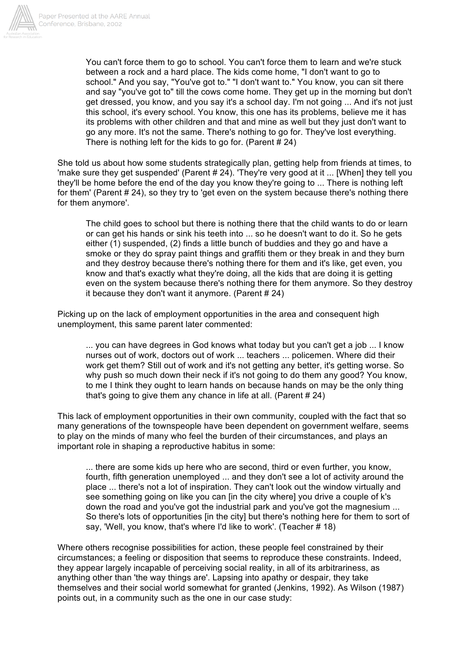

You can't force them to go to school. You can't force them to learn and we're stuck between a rock and a hard place. The kids come home, "I don't want to go to school." And you say, "You've got to." "I don't want to." You know, you can sit there and say "you've got to" till the cows come home. They get up in the morning but don't get dressed, you know, and you say it's a school day. I'm not going ... And it's not just this school, it's every school. You know, this one has its problems, believe me it has its problems with other children and that and mine as well but they just don't want to go any more. It's not the same. There's nothing to go for. They've lost everything. There is nothing left for the kids to go for. (Parent # 24)

She told us about how some students strategically plan, getting help from friends at times, to 'make sure they get suspended' (Parent # 24). 'They're very good at it ... [When] they tell you they'll be home before the end of the day you know they're going to ... There is nothing left for them' (Parent # 24), so they try to 'get even on the system because there's nothing there for them anymore'.

The child goes to school but there is nothing there that the child wants to do or learn or can get his hands or sink his teeth into ... so he doesn't want to do it. So he gets either (1) suspended, (2) finds a little bunch of buddies and they go and have a smoke or they do spray paint things and graffiti them or they break in and they burn and they destroy because there's nothing there for them and it's like, get even, you know and that's exactly what they're doing, all the kids that are doing it is getting even on the system because there's nothing there for them anymore. So they destroy it because they don't want it anymore. (Parent # 24)

Picking up on the lack of employment opportunities in the area and consequent high unemployment, this same parent later commented:

... you can have degrees in God knows what today but you can't get a job ... I know nurses out of work, doctors out of work ... teachers ... policemen. Where did their work get them? Still out of work and it's not getting any better, it's getting worse. So why push so much down their neck if it's not going to do them any good? You know, to me I think they ought to learn hands on because hands on may be the only thing that's going to give them any chance in life at all. (Parent  $# 24$ )

This lack of employment opportunities in their own community, coupled with the fact that so many generations of the townspeople have been dependent on government welfare, seems to play on the minds of many who feel the burden of their circumstances, and plays an important role in shaping a reproductive habitus in some:

... there are some kids up here who are second, third or even further, you know, fourth, fifth generation unemployed ... and they don't see a lot of activity around the place ... there's not a lot of inspiration. They can't look out the window virtually and see something going on like you can [in the city where] you drive a couple of k's down the road and you've got the industrial park and you've got the magnesium ... So there's lots of opportunities [in the city] but there's nothing here for them to sort of say, 'Well, you know, that's where I'd like to work'. (Teacher # 18)

Where others recognise possibilities for action, these people feel constrained by their circumstances; a feeling or disposition that seems to reproduce these constraints. Indeed, they appear largely incapable of perceiving social reality, in all of its arbitrariness, as anything other than 'the way things are'. Lapsing into apathy or despair, they take themselves and their social world somewhat for granted (Jenkins, 1992). As Wilson (1987) points out, in a community such as the one in our case study: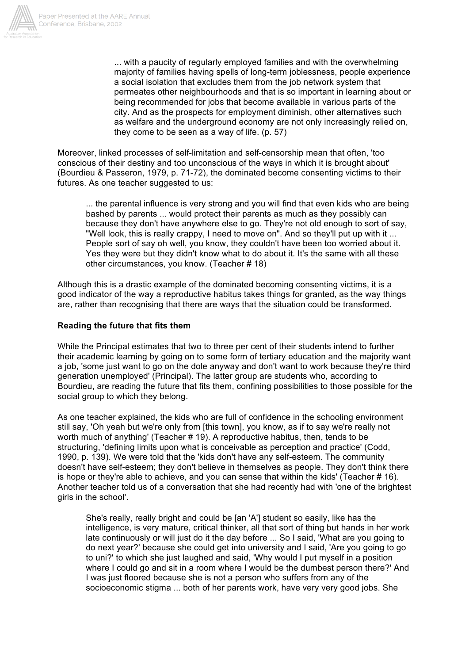

... with a paucity of regularly employed families and with the overwhelming majority of families having spells of long-term joblessness, people experience a social isolation that excludes them from the job network system that permeates other neighbourhoods and that is so important in learning about or being recommended for jobs that become available in various parts of the city. And as the prospects for employment diminish, other alternatives such as welfare and the underground economy are not only increasingly relied on, they come to be seen as a way of life. (p. 57)

Moreover, linked processes of self-limitation and self-censorship mean that often, 'too conscious of their destiny and too unconscious of the ways in which it is brought about' (Bourdieu & Passeron, 1979, p. 71-72), the dominated become consenting victims to their futures. As one teacher suggested to us:

... the parental influence is very strong and you will find that even kids who are being bashed by parents ... would protect their parents as much as they possibly can because they don't have anywhere else to go. They're not old enough to sort of say, "Well look, this is really crappy, I need to move on". And so they'll put up with it ... People sort of say oh well, you know, they couldn't have been too worried about it. Yes they were but they didn't know what to do about it. It's the same with all these other circumstances, you know. (Teacher # 18)

Although this is a drastic example of the dominated becoming consenting victims, it is a good indicator of the way a reproductive habitus takes things for granted, as the way things are, rather than recognising that there are ways that the situation could be transformed.

#### **Reading the future that fits them**

While the Principal estimates that two to three per cent of their students intend to further their academic learning by going on to some form of tertiary education and the majority want a job, 'some just want to go on the dole anyway and don't want to work because they're third generation unemployed' (Principal). The latter group are students who, according to Bourdieu, are reading the future that fits them, confining possibilities to those possible for the social group to which they belong.

As one teacher explained, the kids who are full of confidence in the schooling environment still say, 'Oh yeah but we're only from [this town], you know, as if to say we're really not worth much of anything' (Teacher # 19). A reproductive habitus, then, tends to be structuring, 'defining limits upon what is conceivable as perception and practice' (Codd, 1990, p. 139). We were told that the 'kids don't have any self-esteem. The community doesn't have self-esteem; they don't believe in themselves as people. They don't think there is hope or they're able to achieve, and you can sense that within the kids' (Teacher # 16). Another teacher told us of a conversation that she had recently had with 'one of the brightest girls in the school'.

She's really, really bright and could be [an 'A'] student so easily, like has the intelligence, is very mature, critical thinker, all that sort of thing but hands in her work late continuously or will just do it the day before ... So I said, 'What are you going to do next year?' because she could get into university and I said, 'Are you going to go to uni?' to which she just laughed and said, 'Why would I put myself in a position where I could go and sit in a room where I would be the dumbest person there?' And I was just floored because she is not a person who suffers from any of the socioeconomic stigma ... both of her parents work, have very very good jobs. She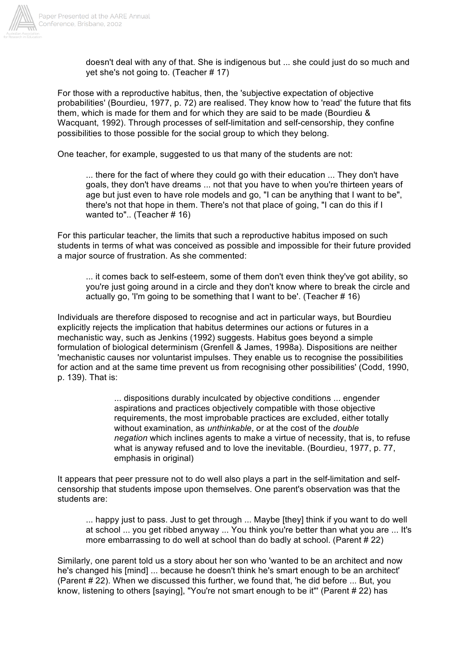

doesn't deal with any of that. She is indigenous but ... she could just do so much and yet she's not going to. (Teacher # 17)

For those with a reproductive habitus, then, the 'subjective expectation of objective probabilities' (Bourdieu, 1977, p. 72) are realised. They know how to 'read' the future that fits them, which is made for them and for which they are said to be made (Bourdieu & Wacquant, 1992). Through processes of self-limitation and self-censorship, they confine possibilities to those possible for the social group to which they belong.

One teacher, for example, suggested to us that many of the students are not:

... there for the fact of where they could go with their education ... They don't have goals, they don't have dreams ... not that you have to when you're thirteen years of age but just even to have role models and go, "I can be anything that I want to be", there's not that hope in them. There's not that place of going, "I can do this if I wanted to".. (Teacher # 16)

For this particular teacher, the limits that such a reproductive habitus imposed on such students in terms of what was conceived as possible and impossible for their future provided a major source of frustration. As she commented:

... it comes back to self-esteem, some of them don't even think they've got ability, so you're just going around in a circle and they don't know where to break the circle and actually go, 'I'm going to be something that I want to be'. (Teacher # 16)

Individuals are therefore disposed to recognise and act in particular ways, but Bourdieu explicitly rejects the implication that habitus determines our actions or futures in a mechanistic way, such as Jenkins (1992) suggests. Habitus goes beyond a simple formulation of biological determinism (Grenfell & James, 1998a). Dispositions are neither 'mechanistic causes nor voluntarist impulses. They enable us to recognise the possibilities for action and at the same time prevent us from recognising other possibilities' (Codd, 1990, p. 139). That is:

> ... dispositions durably inculcated by objective conditions ... engender aspirations and practices objectively compatible with those objective requirements, the most improbable practices are excluded, either totally without examination, as *unthinkable*, or at the cost of the *double negation* which inclines agents to make a virtue of necessity, that is, to refuse what is anyway refused and to love the inevitable. (Bourdieu, 1977, p. 77, emphasis in original)

It appears that peer pressure not to do well also plays a part in the self-limitation and selfcensorship that students impose upon themselves. One parent's observation was that the students are:

... happy just to pass. Just to get through ... Maybe [they] think if you want to do well at school ... you get ribbed anyway ... You think you're better than what you are ... It's more embarrassing to do well at school than do badly at school. (Parent # 22)

Similarly, one parent told us a story about her son who 'wanted to be an architect and now he's changed his [mind] ... because he doesn't think he's smart enough to be an architect' (Parent # 22). When we discussed this further, we found that, 'he did before ... But, you know, listening to others [saying], "You're not smart enough to be it"' (Parent # 22) has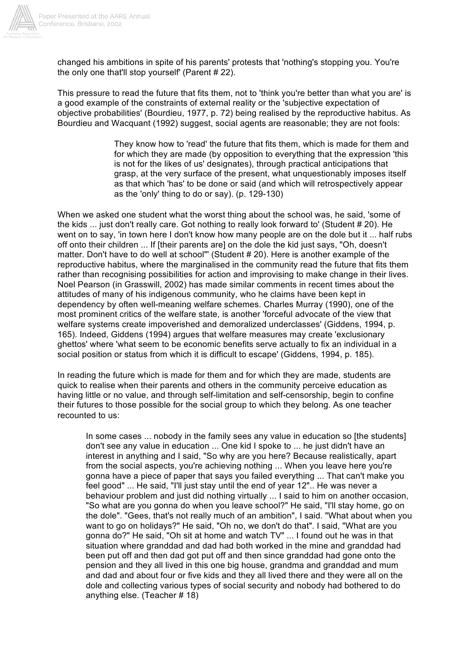

changed his ambitions in spite of his parents' protests that 'nothing's stopping you. You're the only one that'll stop yourself' (Parent # 22).

This pressure to read the future that fits them, not to 'think you're better than what you are' is a good example of the constraints of external reality or the 'subjective expectation of objective probabilities' (Bourdieu, 1977, p. 72) being realised by the reproductive habitus. As Bourdieu and Wacquant (1992) suggest, social agents are reasonable; they are not fools:

> They know how to 'read' the future that fits them, which is made for them and for which they are made (by opposition to everything that the expression 'this is not for the likes of us' designates), through practical anticipations that grasp, at the very surface of the present, what unquestionably imposes itself as that which 'has' to be done or said (and which will retrospectively appear as the 'only' thing to do or say). (p. 129-130)

When we asked one student what the worst thing about the school was, he said, 'some of the kids ... just don't really care. Got nothing to really look forward to' (Student # 20). He went on to say, 'in town here I don't know how many people are on the dole but it ... half rubs off onto their children ... If [their parents are] on the dole the kid just says, "Oh, doesn't matter. Don't have to do well at school"' (Student # 20). Here is another example of the reproductive habitus, where the marginalised in the community read the future that fits them rather than recognising possibilities for action and improvising to make change in their lives. Noel Pearson (in Grasswill, 2002) has made similar comments in recent times about the attitudes of many of his indigenous community, who he claims have been kept in dependency by often well-meaning welfare schemes. Charles Murray (1990), one of the most prominent critics of the welfare state, is another 'forceful advocate of the view that welfare systems create impoverished and demoralized underclasses' (Giddens, 1994, p. 165). Indeed, Giddens (1994) argues that welfare measures may create 'exclusionary ghettos' where 'what seem to be economic benefits serve actually to fix an individual in a social position or status from which it is difficult to escape' (Giddens, 1994, p. 185).

In reading the future which is made for them and for which they are made, students are quick to realise when their parents and others in the community perceive education as having little or no value, and through self-limitation and self-censorship, begin to confine their futures to those possible for the social group to which they belong. As one teacher recounted to us:

In some cases ... nobody in the family sees any value in education so [the students] don't see any value in education ... One kid I spoke to ... he just didn't have an interest in anything and I said, "So why are you here? Because realistically, apart from the social aspects, you're achieving nothing ... When you leave here you're gonna have a piece of paper that says you failed everything ... That can't make you feel good" ... He said, "I'll just stay until the end of year 12".. He was never a behaviour problem and just did nothing virtually ... I said to him on another occasion, "So what are you gonna do when you leave school?" He said, "I'll stay home, go on the dole". "Gees, that's not really much of an ambition", I said. "What about when you want to go on holidays?" He said, "Oh no, we don't do that". I said, "What are you gonna do?" He said, "Oh sit at home and watch TV" ... I found out he was in that situation where granddad and dad had both worked in the mine and granddad had been put off and then dad got put off and then since granddad had gone onto the pension and they all lived in this one big house, grandma and granddad and mum and dad and about four or five kids and they all lived there and they were all on the dole and collecting various types of social security and nobody had bothered to do anything else. (Teacher # 18)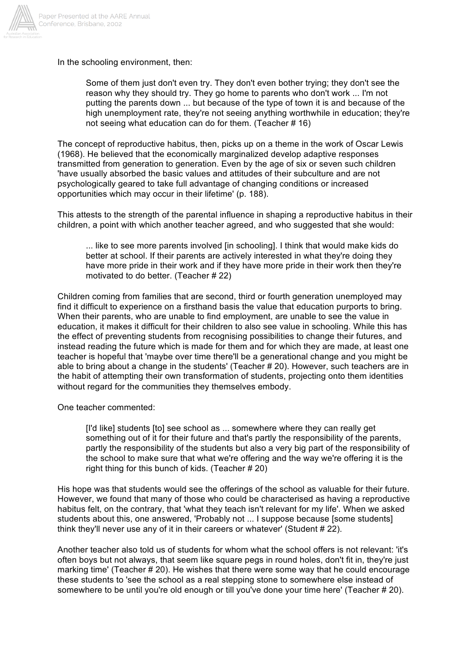

In the schooling environment, then:

Some of them just don't even try. They don't even bother trying; they don't see the reason why they should try. They go home to parents who don't work ... I'm not putting the parents down ... but because of the type of town it is and because of the high unemployment rate, they're not seeing anything worthwhile in education; they're not seeing what education can do for them. (Teacher # 16)

The concept of reproductive habitus, then, picks up on a theme in the work of Oscar Lewis (1968). He believed that the economically marginalized develop adaptive responses transmitted from generation to generation. Even by the age of six or seven such children 'have usually absorbed the basic values and attitudes of their subculture and are not psychologically geared to take full advantage of changing conditions or increased opportunities which may occur in their lifetime' (p. 188).

This attests to the strength of the parental influence in shaping a reproductive habitus in their children, a point with which another teacher agreed, and who suggested that she would:

... like to see more parents involved [in schooling]. I think that would make kids do better at school. If their parents are actively interested in what they're doing they have more pride in their work and if they have more pride in their work then they're motivated to do better. (Teacher # 22)

Children coming from families that are second, third or fourth generation unemployed may find it difficult to experience on a firsthand basis the value that education purports to bring. When their parents, who are unable to find employment, are unable to see the value in education, it makes it difficult for their children to also see value in schooling. While this has the effect of preventing students from recognising possibilities to change their futures, and instead reading the future which is made for them and for which they are made, at least one teacher is hopeful that 'maybe over time there'll be a generational change and you might be able to bring about a change in the students' (Teacher # 20). However, such teachers are in the habit of attempting their own transformation of students, projecting onto them identities without regard for the communities they themselves embody.

One teacher commented:

[I'd like] students [to] see school as ... somewhere where they can really get something out of it for their future and that's partly the responsibility of the parents, partly the responsibility of the students but also a very big part of the responsibility of the school to make sure that what we're offering and the way we're offering it is the right thing for this bunch of kids. (Teacher # 20)

His hope was that students would see the offerings of the school as valuable for their future. However, we found that many of those who could be characterised as having a reproductive habitus felt, on the contrary, that 'what they teach isn't relevant for my life'. When we asked students about this, one answered, 'Probably not ... I suppose because [some students] think they'll never use any of it in their careers or whatever' (Student # 22).

Another teacher also told us of students for whom what the school offers is not relevant: 'it's often boys but not always, that seem like square pegs in round holes, don't fit in, they're just marking time' (Teacher # 20). He wishes that there were some way that he could encourage these students to 'see the school as a real stepping stone to somewhere else instead of somewhere to be until you're old enough or till you've done your time here' (Teacher # 20).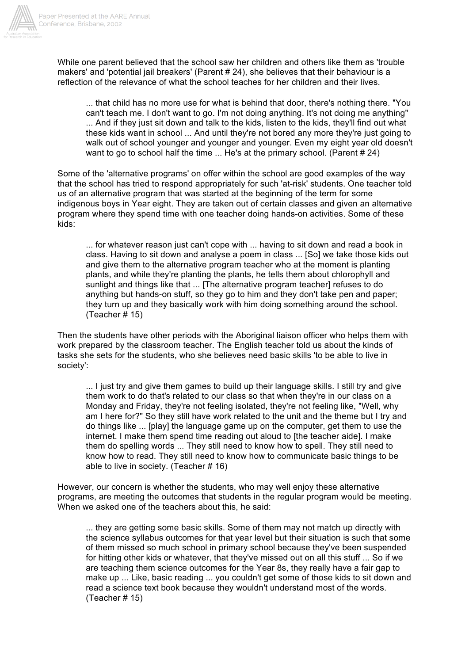

While one parent believed that the school saw her children and others like them as 'trouble makers' and 'potential jail breakers' (Parent # 24), she believes that their behaviour is a reflection of the relevance of what the school teaches for her children and their lives.

... that child has no more use for what is behind that door, there's nothing there. "You can't teach me. I don't want to go. I'm not doing anything. It's not doing me anything" ... And if they just sit down and talk to the kids, listen to the kids, they'll find out what these kids want in school ... And until they're not bored any more they're just going to walk out of school younger and younger and younger. Even my eight year old doesn't want to go to school half the time ... He's at the primary school. (Parent # 24)

Some of the 'alternative programs' on offer within the school are good examples of the way that the school has tried to respond appropriately for such 'at-risk' students. One teacher told us of an alternative program that was started at the beginning of the term for some indigenous boys in Year eight. They are taken out of certain classes and given an alternative program where they spend time with one teacher doing hands-on activities. Some of these kids:

... for whatever reason just can't cope with ... having to sit down and read a book in class. Having to sit down and analyse a poem in class ... [So] we take those kids out and give them to the alternative program teacher who at the moment is planting plants, and while they're planting the plants, he tells them about chlorophyll and sunlight and things like that ... [The alternative program teacher] refuses to do anything but hands-on stuff, so they go to him and they don't take pen and paper; they turn up and they basically work with him doing something around the school. (Teacher # 15)

Then the students have other periods with the Aboriginal liaison officer who helps them with work prepared by the classroom teacher. The English teacher told us about the kinds of tasks she sets for the students, who she believes need basic skills 'to be able to live in society':

... I just try and give them games to build up their language skills. I still try and give them work to do that's related to our class so that when they're in our class on a Monday and Friday, they're not feeling isolated, they're not feeling like, "Well, why am I here for?" So they still have work related to the unit and the theme but I try and do things like ... [play] the language game up on the computer, get them to use the internet. I make them spend time reading out aloud to [the teacher aide]. I make them do spelling words ... They still need to know how to spell. They still need to know how to read. They still need to know how to communicate basic things to be able to live in society. (Teacher # 16)

However, our concern is whether the students, who may well enjoy these alternative programs, are meeting the outcomes that students in the regular program would be meeting. When we asked one of the teachers about this, he said:

... they are getting some basic skills. Some of them may not match up directly with the science syllabus outcomes for that year level but their situation is such that some of them missed so much school in primary school because they've been suspended for hitting other kids or whatever, that they've missed out on all this stuff ... So if we are teaching them science outcomes for the Year 8s, they really have a fair gap to make up ... Like, basic reading ... you couldn't get some of those kids to sit down and read a science text book because they wouldn't understand most of the words. (Teacher # 15)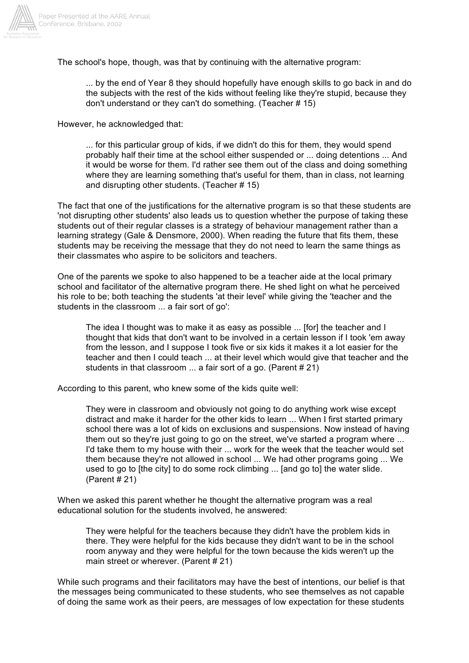

The school's hope, though, was that by continuing with the alternative program:

... by the end of Year 8 they should hopefully have enough skills to go back in and do the subjects with the rest of the kids without feeling like they're stupid, because they don't understand or they can't do something. (Teacher # 15)

However, he acknowledged that:

... for this particular group of kids, if we didn't do this for them, they would spend probably half their time at the school either suspended or ... doing detentions ... And it would be worse for them. I'd rather see them out of the class and doing something where they are learning something that's useful for them, than in class, not learning and disrupting other students. (Teacher # 15)

The fact that one of the justifications for the alternative program is so that these students are 'not disrupting other students' also leads us to question whether the purpose of taking these students out of their regular classes is a strategy of behaviour management rather than a learning strategy (Gale & Densmore, 2000). When reading the future that fits them, these students may be receiving the message that they do not need to learn the same things as their classmates who aspire to be solicitors and teachers.

One of the parents we spoke to also happened to be a teacher aide at the local primary school and facilitator of the alternative program there. He shed light on what he perceived his role to be; both teaching the students 'at their level' while giving the 'teacher and the students in the classroom ... a fair sort of go':

The idea I thought was to make it as easy as possible ... [for] the teacher and I thought that kids that don't want to be involved in a certain lesson if I took 'em away from the lesson, and I suppose I took five or six kids it makes it a lot easier for the teacher and then I could teach ... at their level which would give that teacher and the students in that classroom ... a fair sort of a go. (Parent # 21)

According to this parent, who knew some of the kids quite well:

They were in classroom and obviously not going to do anything work wise except distract and make it harder for the other kids to learn ... When I first started primary school there was a lot of kids on exclusions and suspensions. Now instead of having them out so they're just going to go on the street, we've started a program where ... I'd take them to my house with their ... work for the week that the teacher would set them because they're not allowed in school ... We had other programs going ... We used to go to [the city] to do some rock climbing ... [and go to] the water slide. (Parent # 21)

When we asked this parent whether he thought the alternative program was a real educational solution for the students involved, he answered:

They were helpful for the teachers because they didn't have the problem kids in there. They were helpful for the kids because they didn't want to be in the school room anyway and they were helpful for the town because the kids weren't up the main street or wherever. (Parent # 21)

While such programs and their facilitators may have the best of intentions, our belief is that the messages being communicated to these students, who see themselves as not capable of doing the same work as their peers, are messages of low expectation for these students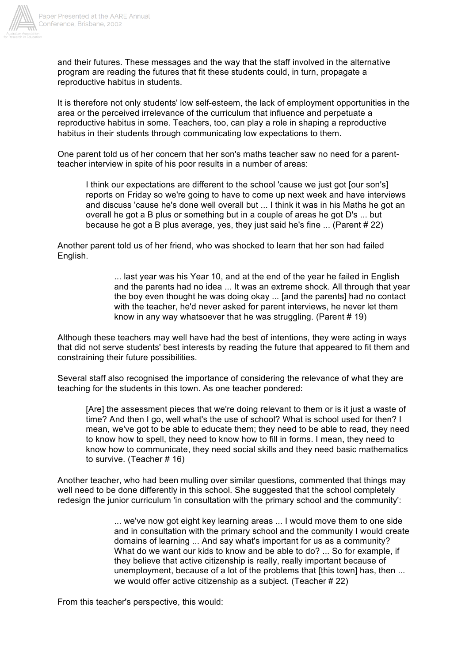

and their futures. These messages and the way that the staff involved in the alternative program are reading the futures that fit these students could, in turn, propagate a reproductive habitus in students.

It is therefore not only students' low self-esteem, the lack of employment opportunities in the area or the perceived irrelevance of the curriculum that influence and perpetuate a reproductive habitus in some. Teachers, too, can play a role in shaping a reproductive habitus in their students through communicating low expectations to them.

One parent told us of her concern that her son's maths teacher saw no need for a parentteacher interview in spite of his poor results in a number of areas:

I think our expectations are different to the school 'cause we just got [our son's] reports on Friday so we're going to have to come up next week and have interviews and discuss 'cause he's done well overall but ... I think it was in his Maths he got an overall he got a B plus or something but in a couple of areas he got D's ... but because he got a B plus average, yes, they just said he's fine ... (Parent # 22)

Another parent told us of her friend, who was shocked to learn that her son had failed English.

> ... last year was his Year 10, and at the end of the year he failed in English and the parents had no idea ... It was an extreme shock. All through that year the boy even thought he was doing okay ... [and the parents] had no contact with the teacher, he'd never asked for parent interviews, he never let them know in any way whatsoever that he was struggling. (Parent # 19)

Although these teachers may well have had the best of intentions, they were acting in ways that did not serve students' best interests by reading the future that appeared to fit them and constraining their future possibilities.

Several staff also recognised the importance of considering the relevance of what they are teaching for the students in this town. As one teacher pondered:

[Are] the assessment pieces that we're doing relevant to them or is it just a waste of time? And then I go, well what's the use of school? What is school used for then? I mean, we've got to be able to educate them; they need to be able to read, they need to know how to spell, they need to know how to fill in forms. I mean, they need to know how to communicate, they need social skills and they need basic mathematics to survive. (Teacher # 16)

Another teacher, who had been mulling over similar questions, commented that things may well need to be done differently in this school. She suggested that the school completely redesign the junior curriculum 'in consultation with the primary school and the community':

> ... we've now got eight key learning areas ... I would move them to one side and in consultation with the primary school and the community I would create domains of learning ... And say what's important for us as a community? What do we want our kids to know and be able to do? ... So for example, if they believe that active citizenship is really, really important because of unemployment, because of a lot of the problems that [this town] has, then ... we would offer active citizenship as a subject. (Teacher # 22)

From this teacher's perspective, this would: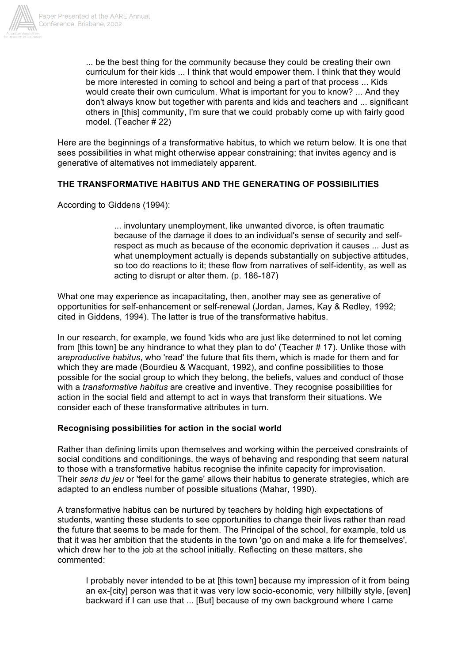

... be the best thing for the community because they could be creating their own curriculum for their kids ... I think that would empower them. I think that they would be more interested in coming to school and being a part of that process ... Kids would create their own curriculum. What is important for you to know? ... And they don't always know but together with parents and kids and teachers and ... significant others in [this] community, I'm sure that we could probably come up with fairly good model. (Teacher # 22)

Here are the beginnings of a transformative habitus, to which we return below. It is one that sees possibilities in what might otherwise appear constraining; that invites agency and is generative of alternatives not immediately apparent.

#### **THE TRANSFORMATIVE HABITUS AND THE GENERATING OF POSSIBILITIES**

According to Giddens (1994):

... involuntary unemployment, like unwanted divorce, is often traumatic because of the damage it does to an individual's sense of security and selfrespect as much as because of the economic deprivation it causes ... Just as what unemployment actually is depends substantially on subjective attitudes, so too do reactions to it; these flow from narratives of self-identity, as well as acting to disrupt or alter them. (p. 186-187)

What one may experience as incapacitating, then, another may see as generative of opportunities for self-enhancement or self-renewal (Jordan, James, Kay & Redley, 1992; cited in Giddens, 1994). The latter is true of the transformative habitus.

In our research, for example, we found 'kids who are just like determined to not let coming from [this town] be any hindrance to what they plan to do' (Teacher # 17). Unlike those with a*reproductive habitus*, who 'read' the future that fits them, which is made for them and for which they are made (Bourdieu & Wacquant, 1992), and confine possibilities to those possible for the social group to which they belong, the beliefs, values and conduct of those with a *transformative habitus* are creative and inventive. They recognise possibilities for action in the social field and attempt to act in ways that transform their situations. We consider each of these transformative attributes in turn.

#### **Recognising possibilities for action in the social world**

Rather than defining limits upon themselves and working within the perceived constraints of social conditions and conditionings, the ways of behaving and responding that seem natural to those with a transformative habitus recognise the infinite capacity for improvisation. Their *sens du jeu* or 'feel for the game' allows their habitus to generate strategies, which are adapted to an endless number of possible situations (Mahar, 1990).

A transformative habitus can be nurtured by teachers by holding high expectations of students, wanting these students to see opportunities to change their lives rather than read the future that seems to be made for them. The Principal of the school, for example, told us that it was her ambition that the students in the town 'go on and make a life for themselves', which drew her to the job at the school initially. Reflecting on these matters, she commented:

I probably never intended to be at [this town] because my impression of it from being an ex-[city] person was that it was very low socio-economic, very hillbilly style, [even] backward if I can use that ... [But] because of my own background where I came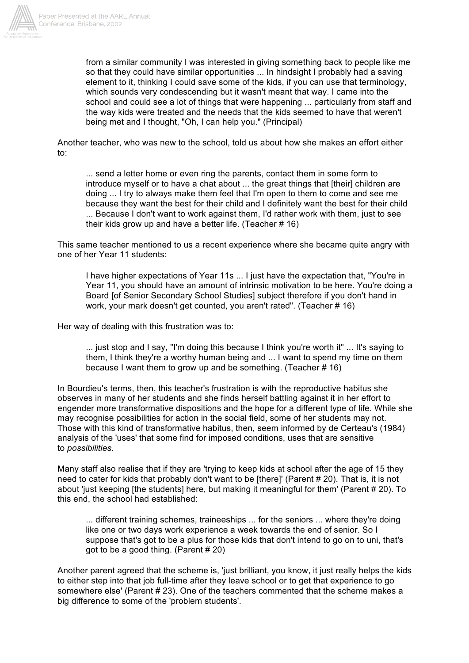

from a similar community I was interested in giving something back to people like me so that they could have similar opportunities ... In hindsight I probably had a saving element to it, thinking I could save some of the kids, if you can use that terminology, which sounds very condescending but it wasn't meant that way. I came into the school and could see a lot of things that were happening ... particularly from staff and the way kids were treated and the needs that the kids seemed to have that weren't being met and I thought, "Oh, I can help you." (Principal)

Another teacher, who was new to the school, told us about how she makes an effort either to:

... send a letter home or even ring the parents, contact them in some form to introduce myself or to have a chat about ... the great things that [their] children are doing ... I try to always make them feel that I'm open to them to come and see me because they want the best for their child and I definitely want the best for their child ... Because I don't want to work against them, I'd rather work with them, just to see their kids grow up and have a better life. (Teacher # 16)

This same teacher mentioned to us a recent experience where she became quite angry with one of her Year 11 students:

I have higher expectations of Year 11s ... I just have the expectation that, "You're in Year 11, you should have an amount of intrinsic motivation to be here. You're doing a Board [of Senior Secondary School Studies] subject therefore if you don't hand in work, your mark doesn't get counted, you aren't rated". (Teacher # 16)

Her way of dealing with this frustration was to:

... just stop and I say, "I'm doing this because I think you're worth it" ... It's saying to them, I think they're a worthy human being and ... I want to spend my time on them because I want them to grow up and be something. (Teacher # 16)

In Bourdieu's terms, then, this teacher's frustration is with the reproductive habitus she observes in many of her students and she finds herself battling against it in her effort to engender more transformative dispositions and the hope for a different type of life. While she may recognise possibilities for action in the social field, some of her students may not. Those with this kind of transformative habitus, then, seem informed by de Certeau's (1984) analysis of the 'uses' that some find for imposed conditions, uses that are sensitive to *possibilities*.

Many staff also realise that if they are 'trying to keep kids at school after the age of 15 they need to cater for kids that probably don't want to be [there]' (Parent # 20). That is, it is not about 'just keeping [the students] here, but making it meaningful for them' (Parent # 20). To this end, the school had established:

... different training schemes, traineeships ... for the seniors ... where they're doing like one or two days work experience a week towards the end of senior. So I suppose that's got to be a plus for those kids that don't intend to go on to uni, that's got to be a good thing. (Parent # 20)

Another parent agreed that the scheme is, 'just brilliant, you know, it just really helps the kids to either step into that job full-time after they leave school or to get that experience to go somewhere else' (Parent # 23). One of the teachers commented that the scheme makes a big difference to some of the 'problem students'.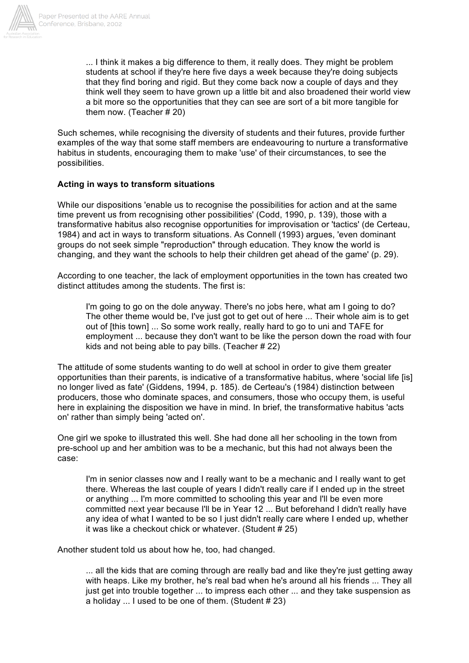

... I think it makes a big difference to them, it really does. They might be problem students at school if they're here five days a week because they're doing subjects that they find boring and rigid. But they come back now a couple of days and they think well they seem to have grown up a little bit and also broadened their world view a bit more so the opportunities that they can see are sort of a bit more tangible for them now. (Teacher # 20)

Such schemes, while recognising the diversity of students and their futures, provide further examples of the way that some staff members are endeavouring to nurture a transformative habitus in students, encouraging them to make 'use' of their circumstances, to see the possibilities.

#### **Acting in ways to transform situations**

While our dispositions 'enable us to recognise the possibilities for action and at the same time prevent us from recognising other possibilities' (Codd, 1990, p. 139), those with a transformative habitus also recognise opportunities for improvisation or 'tactics' (de Certeau, 1984) and act in ways to transform situations. As Connell (1993) argues, 'even dominant groups do not seek simple "reproduction" through education. They know the world is changing, and they want the schools to help their children get ahead of the game' (p. 29).

According to one teacher, the lack of employment opportunities in the town has created two distinct attitudes among the students. The first is:

I'm going to go on the dole anyway. There's no jobs here, what am I going to do? The other theme would be, I've just got to get out of here ... Their whole aim is to get out of [this town] ... So some work really, really hard to go to uni and TAFE for employment ... because they don't want to be like the person down the road with four kids and not being able to pay bills. (Teacher # 22)

The attitude of some students wanting to do well at school in order to give them greater opportunities than their parents, is indicative of a transformative habitus, where 'social life [is] no longer lived as fate' (Giddens, 1994, p. 185). de Certeau's (1984) distinction between producers, those who dominate spaces, and consumers, those who occupy them, is useful here in explaining the disposition we have in mind. In brief, the transformative habitus 'acts on' rather than simply being 'acted on'.

One girl we spoke to illustrated this well. She had done all her schooling in the town from pre-school up and her ambition was to be a mechanic, but this had not always been the case:

I'm in senior classes now and I really want to be a mechanic and I really want to get there. Whereas the last couple of years I didn't really care if I ended up in the street or anything ... I'm more committed to schooling this year and I'll be even more committed next year because I'll be in Year 12 ... But beforehand I didn't really have any idea of what I wanted to be so I just didn't really care where I ended up, whether it was like a checkout chick or whatever. (Student # 25)

Another student told us about how he, too, had changed.

... all the kids that are coming through are really bad and like they're just getting away with heaps. Like my brother, he's real bad when he's around all his friends ... They all just get into trouble together ... to impress each other ... and they take suspension as a holiday ... I used to be one of them. (Student # 23)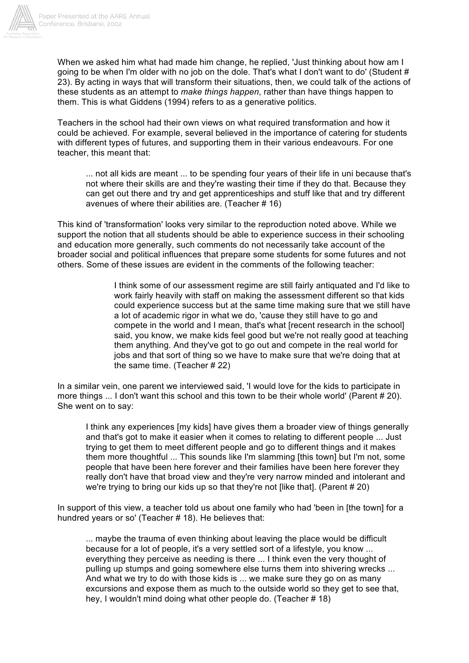

When we asked him what had made him change, he replied, 'Just thinking about how am I going to be when I'm older with no job on the dole. That's what I don't want to do' (Student # 23). By acting in ways that will transform their situations, then, we could talk of the actions of these students as an attempt to *make things happen*, rather than have things happen to them. This is what Giddens (1994) refers to as a generative politics.

Teachers in the school had their own views on what required transformation and how it could be achieved. For example, several believed in the importance of catering for students with different types of futures, and supporting them in their various endeavours. For one teacher, this meant that:

... not all kids are meant ... to be spending four years of their life in uni because that's not where their skills are and they're wasting their time if they do that. Because they can get out there and try and get apprenticeships and stuff like that and try different avenues of where their abilities are. (Teacher # 16)

This kind of 'transformation' looks very similar to the reproduction noted above. While we support the notion that all students should be able to experience success in their schooling and education more generally, such comments do not necessarily take account of the broader social and political influences that prepare some students for some futures and not others. Some of these issues are evident in the comments of the following teacher:

> I think some of our assessment regime are still fairly antiquated and I'd like to work fairly heavily with staff on making the assessment different so that kids could experience success but at the same time making sure that we still have a lot of academic rigor in what we do, 'cause they still have to go and compete in the world and I mean, that's what [recent research in the school] said, you know, we make kids feel good but we're not really good at teaching them anything. And they've got to go out and compete in the real world for jobs and that sort of thing so we have to make sure that we're doing that at the same time. (Teacher # 22)

In a similar vein, one parent we interviewed said, 'I would love for the kids to participate in more things ... I don't want this school and this town to be their whole world' (Parent # 20). She went on to say:

I think any experiences [my kids] have gives them a broader view of things generally and that's got to make it easier when it comes to relating to different people ... Just trying to get them to meet different people and go to different things and it makes them more thoughtful ... This sounds like I'm slamming [this town] but I'm not, some people that have been here forever and their families have been here forever they really don't have that broad view and they're very narrow minded and intolerant and we're trying to bring our kids up so that they're not [like that]. (Parent # 20)

In support of this view, a teacher told us about one family who had 'been in [the town] for a hundred years or so' (Teacher # 18). He believes that:

... maybe the trauma of even thinking about leaving the place would be difficult because for a lot of people, it's a very settled sort of a lifestyle, you know ... everything they perceive as needing is there ... I think even the very thought of pulling up stumps and going somewhere else turns them into shivering wrecks ... And what we try to do with those kids is ... we make sure they go on as many excursions and expose them as much to the outside world so they get to see that, hey, I wouldn't mind doing what other people do. (Teacher # 18)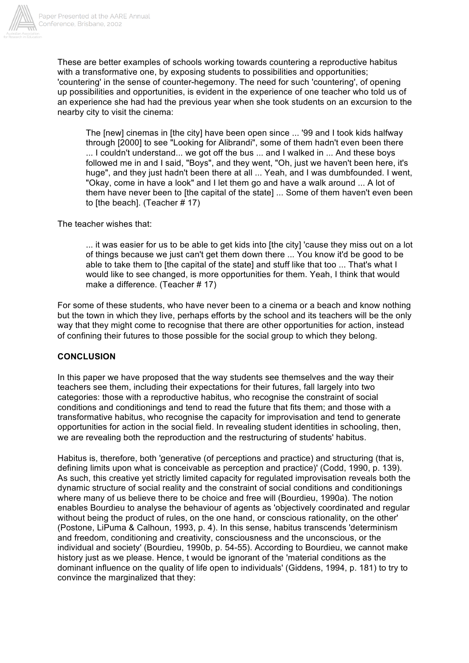

These are better examples of schools working towards countering a reproductive habitus with a transformative one, by exposing students to possibilities and opportunities; 'countering' in the sense of counter-hegemony. The need for such 'countering', of opening up possibilities and opportunities, is evident in the experience of one teacher who told us of an experience she had had the previous year when she took students on an excursion to the nearby city to visit the cinema:

The [new] cinemas in [the city] have been open since ... '99 and I took kids halfway through [2000] to see "Looking for Alibrandi", some of them hadn't even been there ... I couldn't understand... we got off the bus ... and I walked in ... And these boys followed me in and I said, "Boys", and they went, "Oh, just we haven't been here, it's huge", and they just hadn't been there at all ... Yeah, and I was dumbfounded. I went, "Okay, come in have a look" and I let them go and have a walk around ... A lot of them have never been to [the capital of the state] ... Some of them haven't even been to [the beach]. (Teacher # 17)

The teacher wishes that:

... it was easier for us to be able to get kids into [the city] 'cause they miss out on a lot of things because we just can't get them down there ... You know it'd be good to be able to take them to [the capital of the state] and stuff like that too ... That's what I would like to see changed, is more opportunities for them. Yeah, I think that would make a difference. (Teacher # 17)

For some of these students, who have never been to a cinema or a beach and know nothing but the town in which they live, perhaps efforts by the school and its teachers will be the only way that they might come to recognise that there are other opportunities for action, instead of confining their futures to those possible for the social group to which they belong.

# **CONCLUSION**

In this paper we have proposed that the way students see themselves and the way their teachers see them, including their expectations for their futures, fall largely into two categories: those with a reproductive habitus, who recognise the constraint of social conditions and conditionings and tend to read the future that fits them; and those with a transformative habitus, who recognise the capacity for improvisation and tend to generate opportunities for action in the social field. In revealing student identities in schooling, then, we are revealing both the reproduction and the restructuring of students' habitus.

Habitus is, therefore, both 'generative (of perceptions and practice) and structuring (that is, defining limits upon what is conceivable as perception and practice)' (Codd, 1990, p. 139). As such, this creative yet strictly limited capacity for regulated improvisation reveals both the dynamic structure of social reality and the constraint of social conditions and conditionings where many of us believe there to be choice and free will (Bourdieu, 1990a). The notion enables Bourdieu to analyse the behaviour of agents as 'objectively coordinated and regular without being the product of rules, on the one hand, or conscious rationality, on the other' (Postone, LiPuma & Calhoun, 1993, p. 4). In this sense, habitus transcends 'determinism and freedom, conditioning and creativity, consciousness and the unconscious, or the individual and society' (Bourdieu, 1990b, p. 54-55). According to Bourdieu, we cannot make history just as we please. Hence, t would be ignorant of the 'material conditions as the dominant influence on the quality of life open to individuals' (Giddens, 1994, p. 181) to try to convince the marginalized that they: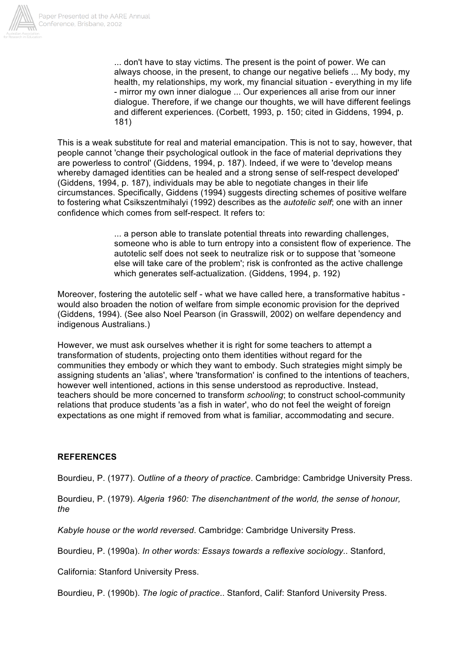

... don't have to stay victims. The present is the point of power. We can always choose, in the present, to change our negative beliefs ... My body, my health, my relationships, my work, my financial situation - everything in my life - mirror my own inner dialogue ... Our experiences all arise from our inner dialogue. Therefore, if we change our thoughts, we will have different feelings and different experiences. (Corbett, 1993, p. 150; cited in Giddens, 1994, p. 181)

This is a weak substitute for real and material emancipation. This is not to say, however, that people cannot 'change their psychological outlook in the face of material deprivations they are powerless to control' (Giddens, 1994, p. 187). Indeed, if we were to 'develop means whereby damaged identities can be healed and a strong sense of self-respect developed' (Giddens, 1994, p. 187), individuals may be able to negotiate changes in their life circumstances. Specifically, Giddens (1994) suggests directing schemes of positive welfare to fostering what Csikszentmihalyi (1992) describes as the *autotelic self*; one with an inner confidence which comes from self-respect. It refers to:

> ... a person able to translate potential threats into rewarding challenges, someone who is able to turn entropy into a consistent flow of experience. The autotelic self does not seek to neutralize risk or to suppose that 'someone else will take care of the problem'; risk is confronted as the active challenge which generates self-actualization. (Giddens, 1994, p. 192)

Moreover, fostering the autotelic self - what we have called here, a transformative habitus would also broaden the notion of welfare from simple economic provision for the deprived (Giddens, 1994). (See also Noel Pearson (in Grasswill, 2002) on welfare dependency and indigenous Australians.)

However, we must ask ourselves whether it is right for some teachers to attempt a transformation of students, projecting onto them identities without regard for the communities they embody or which they want to embody. Such strategies might simply be assigning students an 'alias', where 'transformation' is confined to the intentions of teachers, however well intentioned, actions in this sense understood as reproductive. Instead, teachers should be more concerned to transform *schooling*; to construct school-community relations that produce students 'as a fish in water', who do not feel the weight of foreign expectations as one might if removed from what is familiar, accommodating and secure.

# **REFERENCES**

Bourdieu, P. (1977). *Outline of a theory of practice*. Cambridge: Cambridge University Press.

Bourdieu, P. (1979). *Algeria 1960: The disenchantment of the world, the sense of honour, the*

*Kabyle house or the world reversed*. Cambridge: Cambridge University Press.

Bourdieu, P. (1990a). *In other words: Essays towards a reflexive sociology*.. Stanford,

California: Stanford University Press.

Bourdieu, P. (1990b). *The logic of practice*.. Stanford, Calif: Stanford University Press.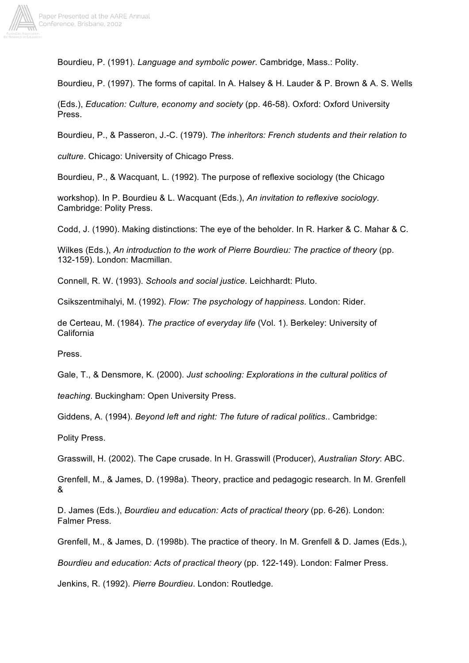

Bourdieu, P. (1991). *Language and symbolic power*. Cambridge, Mass.: Polity.

Bourdieu, P. (1997). The forms of capital. In A. Halsey & H. Lauder & P. Brown & A. S. Wells

(Eds.), *Education: Culture, economy and society* (pp. 46-58). Oxford: Oxford University Press.

Bourdieu, P., & Passeron, J.-C. (1979). *The inheritors: French students and their relation to*

*culture*. Chicago: University of Chicago Press.

Bourdieu, P., & Wacquant, L. (1992). The purpose of reflexive sociology (the Chicago

workshop). In P. Bourdieu & L. Wacquant (Eds.), *An invitation to reflexive sociology*. Cambridge: Polity Press.

Codd, J. (1990). Making distinctions: The eye of the beholder. In R. Harker & C. Mahar & C.

Wilkes (Eds.), *An introduction to the work of Pierre Bourdieu: The practice of theory* (pp. 132-159). London: Macmillan.

Connell, R. W. (1993). *Schools and social justice*. Leichhardt: Pluto.

Csikszentmihalyi, M. (1992). *Flow: The psychology of happiness*. London: Rider.

de Certeau, M. (1984). *The practice of everyday life* (Vol. 1). Berkeley: University of California

Press.

Gale, T., & Densmore, K. (2000). *Just schooling: Explorations in the cultural politics of*

*teaching*. Buckingham: Open University Press.

Giddens, A. (1994). *Beyond left and right: The future of radical politics*.. Cambridge:

Polity Press.

Grasswill, H. (2002). The Cape crusade. In H. Grasswill (Producer), *Australian Story*: ABC.

Grenfell, M., & James, D. (1998a). Theory, practice and pedagogic research. In M. Grenfell &

D. James (Eds.), *Bourdieu and education: Acts of practical theory* (pp. 6-26). London: Falmer Press.

Grenfell, M., & James, D. (1998b). The practice of theory. In M. Grenfell & D. James (Eds.),

*Bourdieu and education: Acts of practical theory* (pp. 122-149). London: Falmer Press.

Jenkins, R. (1992). *Pierre Bourdieu*. London: Routledge.